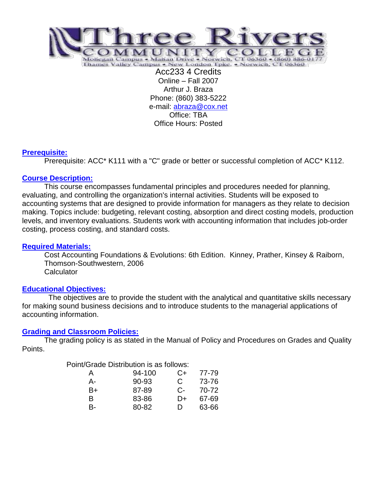

Online – Fall 2007 Arthur J. Braza Phone: (860) 383-5222 e-mail: [abraza@cox.net](mailto:abraza@cox.net) Office: TBA Office Hours: Posted

## **Prerequisite:**

Prerequisite: ACC\* K111 with a "C" grade or better or successful completion of ACC\* K112.

# **Course Description:**

This course encompasses fundamental principles and procedures needed for planning, evaluating, and controlling the organization's internal activities. Students will be exposed to accounting systems that are designed to provide information for managers as they relate to decision making. Topics include: budgeting, relevant costing, absorption and direct costing models, production levels, and inventory evaluations. Students work with accounting information that includes job-order costing, process costing, and standard costs.

## **Required Materials:**

Cost Accounting Foundations & Evolutions: 6th Edition. Kinney, Prather, Kinsey & Raiborn, Thomson-Southwestern, 2006 **Calculator** 

## **Educational Objectives:**

 The objectives are to provide the student with the analytical and quantitative skills necessary for making sound business decisions and to introduce students to the managerial applications of accounting information.

## **Grading and Classroom Policies:**

The grading policy is as stated in the Manual of Policy and Procedures on Grades and Quality Points.

## Point/Grade Distribution is as follows:

| A  | 94-100 | $C+$  | 77-79 |
|----|--------|-------|-------|
| А- | 90-93  | C     | 73-76 |
| B+ | 87-89  | $C$ - | 70-72 |
| B  | 83-86  | D+    | 67-69 |
| B- | 80-82  | D     | 63-66 |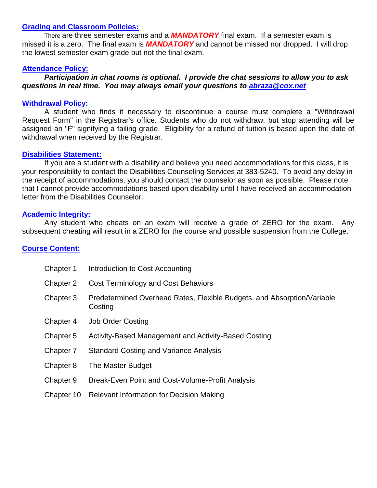### **Grading and Classroom Policies:**

There are three semester exams and a *MANDATORY* final exam. If a semester exam is missed it is a zero. The final exam is *MANDATORY* and cannot be missed nor dropped. I will drop the lowest semester exam grade but not the final exam.

#### **Attendance Policy:**

*Participation in chat rooms is optional. I provide the chat sessions to allow you to ask questions in real time. You may always email your questions to [abraza@cox.net](mailto:abraza@cox.net)*

### **Withdrawal Policy:**

A student who finds it necessary to discontinue a course must complete a "Withdrawal Request Form" in the Registrar's office. Students who do not withdraw, but stop attending will be assigned an "F" signifying a failing grade. Eligibility for a refund of tuition is based upon the date of withdrawal when received by the Registrar.

### **Disabilities Statement:**

If you are a student with a disability and believe you need accommodations for this class, it is your responsibility to contact the Disabilities Counseling Services at 383-5240. To avoid any delay in the receipt of accommodations, you should contact the counselor as soon as possible. Please note that I cannot provide accommodations based upon disability until I have received an accommodation letter from the Disabilities Counselor.

#### **Academic Integrity:**

Any student who cheats on an exam will receive a grade of ZERO for the exam. Any subsequent cheating will result in a ZERO for the course and possible suspension from the College.

## **Course Content:**

| Chapter 1  | Introduction to Cost Accounting                                                    |
|------------|------------------------------------------------------------------------------------|
| Chapter 2  | Cost Terminology and Cost Behaviors                                                |
| Chapter 3  | Predetermined Overhead Rates, Flexible Budgets, and Absorption/Variable<br>Costing |
| Chapter 4  | <b>Job Order Costing</b>                                                           |
| Chapter 5  | Activity-Based Management and Activity-Based Costing                               |
| Chapter 7  | <b>Standard Costing and Variance Analysis</b>                                      |
| Chapter 8  | The Master Budget                                                                  |
| Chapter 9  | Break-Even Point and Cost-Volume-Profit Analysis                                   |
| Chapter 10 | <b>Relevant Information for Decision Making</b>                                    |
|            |                                                                                    |